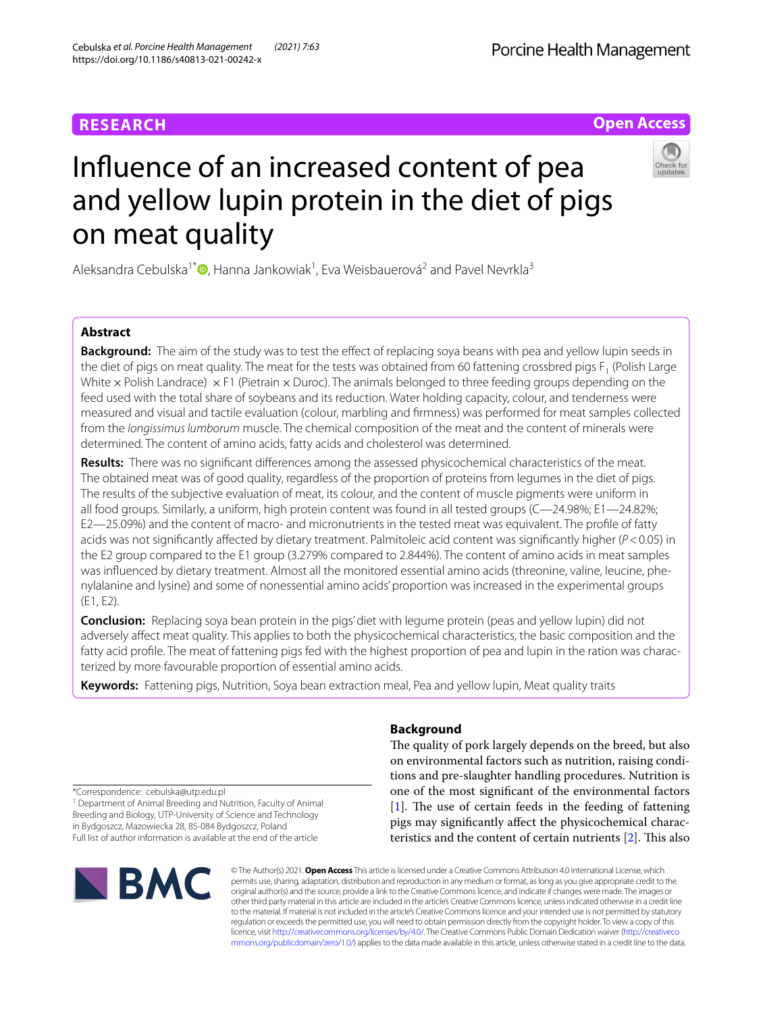# **RESEARCH**

# **Open Access**



# Infuence of an increased content of pea and yellow lupin protein in the diet of pigs on meat quality

Aleksandra Cebulska<sup>1\*</sup><sup>®</sup>[,](http://orcid.org/0000-0001-9122-4090) Hanna Jankowiak<sup>1</sup>, Eva Weisbauerová<sup>2</sup> and Pavel Nevrkla<sup>3</sup>

# **Abstract**

**Background:** The aim of the study was to test the effect of replacing soya beans with pea and yellow lupin seeds in the diet of pigs on meat quality. The meat for the tests was obtained from 60 fattening crossbred pigs F<sub>1</sub> (Polish Large) White  $\times$  Polish Landrace)  $\times$  F1 (Pietrain  $\times$  Duroc). The animals belonged to three feeding groups depending on the feed used with the total share of soybeans and its reduction. Water holding capacity, colour, and tenderness were measured and visual and tactile evaluation (colour, marbling and frmness) was performed for meat samples collected from the *longissimus lumborum* muscle. The chemical composition of the meat and the content of minerals were determined. The content of amino acids, fatty acids and cholesterol was determined.

**Results:** There was no signifcant diferences among the assessed physicochemical characteristics of the meat. The obtained meat was of good quality, regardless of the proportion of proteins from legumes in the diet of pigs. The results of the subjective evaluation of meat, its colour, and the content of muscle pigments were uniform in all food groups. Similarly, a uniform, high protein content was found in all tested groups (C—24.98%; E1—24.82%; E2—25.09%) and the content of macro- and micronutrients in the tested meat was equivalent. The profle of fatty acids was not signifcantly afected by dietary treatment. Palmitoleic acid content was signifcantly higher (*P*<0.05) in the E2 group compared to the E1 group (3.279% compared to 2.844%). The content of amino acids in meat samples was infuenced by dietary treatment. Almost all the monitored essential amino acids (threonine, valine, leucine, phenylalanine and lysine) and some of nonessential amino acids' proportion was increased in the experimental groups (E1, E2).

**Conclusion:** Replacing soya bean protein in the pigs' diet with legume protein (peas and yellow lupin) did not adversely afect meat quality. This applies to both the physicochemical characteristics, the basic composition and the fatty acid profle. The meat of fattening pigs fed with the highest proportion of pea and lupin in the ration was characterized by more favourable proportion of essential amino acids.

**Keywords:** Fattening pigs, Nutrition, Soya bean extraction meal, Pea and yellow lupin, Meat quality traits

# **Background**

The quality of pork largely depends on the breed, but also on environmental factors such as nutrition, raising conditions and pre-slaughter handling procedures. Nutrition is one of the most signifcant of the environmental factors  $[1]$  $[1]$ . The use of certain feeds in the feeding of fattening pigs may signifcantly afect the physicochemical characteristics and the content of certain nutrients  $[2]$ . This also

\*Correspondence: cebulska@utp.edu.pl

<sup>1</sup> Department of Animal Breeding and Nutrition, Faculty of Animal Breeding and Biology, UTP-University of Science and Technology in Bydgoszcz, Mazowiecka 28, 85-084 Bydgoszcz, Poland Full list of author information is available at the end of the article



© The Author(s) 2021. **Open Access** This article is licensed under a Creative Commons Attribution 4.0 International License, which permits use, sharing, adaptation, distribution and reproduction in any medium or format, as long as you give appropriate credit to the original author(s) and the source, provide a link to the Creative Commons licence, and indicate if changes were made. The images or other third party material in this article are included in the article's Creative Commons licence, unless indicated otherwise in a credit line to the material. If material is not included in the article's Creative Commons licence and your intended use is not permitted by statutory regulation or exceeds the permitted use, you will need to obtain permission directly from the copyright holder. To view a copy of this licence, visit [http://creativecommons.org/licenses/by/4.0/.](http://creativecommons.org/licenses/by/4.0/) The Creative Commons Public Domain Dedication waiver ([http://creativeco](http://creativecommons.org/publicdomain/zero/1.0/) [mmons.org/publicdomain/zero/1.0/](http://creativecommons.org/publicdomain/zero/1.0/)) applies to the data made available in this article, unless otherwise stated in a credit line to the data.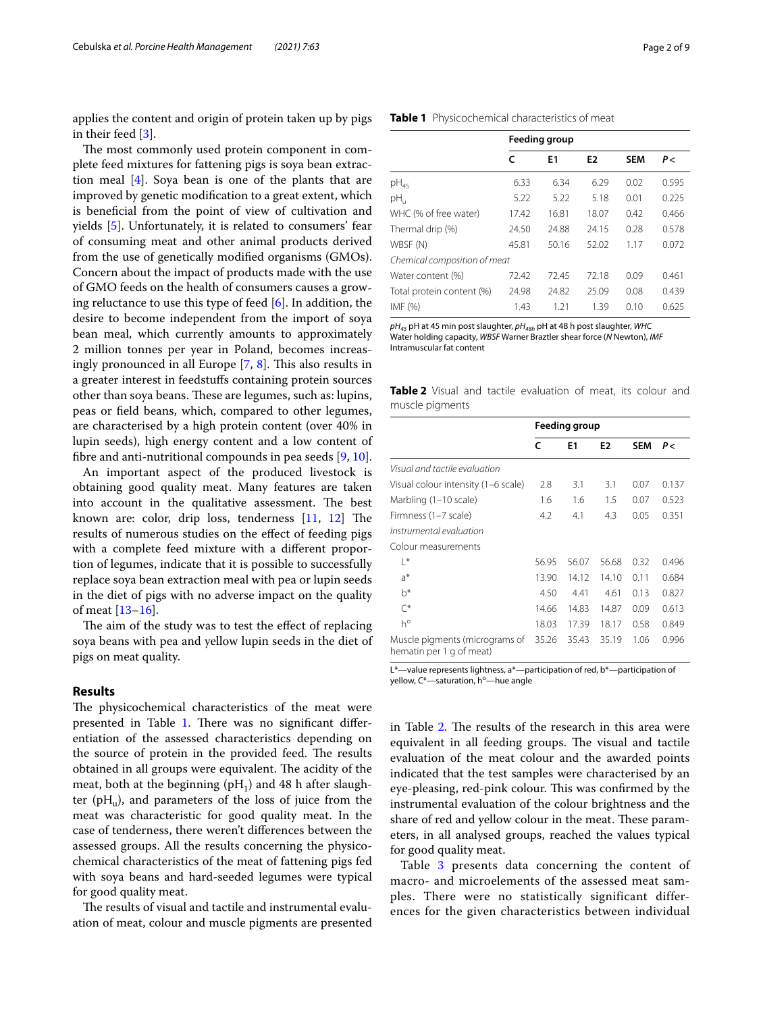applies the content and origin of protein taken up by pigs in their feed [[3\]](#page-7-2).

The most commonly used protein component in complete feed mixtures for fattening pigs is soya bean extraction meal [[4\]](#page-7-3). Soya bean is one of the plants that are improved by genetic modifcation to a great extent, which is benefcial from the point of view of cultivation and yields [[5](#page-7-4)]. Unfortunately, it is related to consumers' fear of consuming meat and other animal products derived from the use of genetically modifed organisms (GMOs). Concern about the impact of products made with the use of GMO feeds on the health of consumers causes a growing reluctance to use this type of feed  $[6]$  $[6]$ . In addition, the desire to become independent from the import of soya bean meal, which currently amounts to approximately 2 million tonnes per year in Poland, becomes increasingly pronounced in all Europe  $[7, 8]$  $[7, 8]$  $[7, 8]$  $[7, 8]$ . This also results in a greater interest in feedstufs containing protein sources other than soya beans. These are legumes, such as: lupins, peas or feld beans, which, compared to other legumes, are characterised by a high protein content (over 40% in lupin seeds), high energy content and a low content of fbre and anti-nutritional compounds in pea seeds [[9,](#page-7-8) [10](#page-7-9)].

An important aspect of the produced livestock is obtaining good quality meat. Many features are taken into account in the qualitative assessment. The best known are: color, drip loss, tenderness  $[11, 12]$  $[11, 12]$  $[11, 12]$  $[11, 12]$  $[11, 12]$  The results of numerous studies on the efect of feeding pigs with a complete feed mixture with a diferent proportion of legumes, indicate that it is possible to successfully replace soya bean extraction meal with pea or lupin seeds in the diet of pigs with no adverse impact on the quality of meat [[13–](#page-7-12)[16\]](#page-7-13).

The aim of the study was to test the effect of replacing soya beans with pea and yellow lupin seeds in the diet of pigs on meat quality.

# **Results**

The physicochemical characteristics of the meat were presented in Table [1.](#page-1-0) There was no significant differentiation of the assessed characteristics depending on the source of protein in the provided feed. The results obtained in all groups were equivalent. The acidity of the meat, both at the beginning  $(pH_1)$  and 48 h after slaughter ( $pH_{u}$ ), and parameters of the loss of juice from the meat was characteristic for good quality meat. In the case of tenderness, there weren't diferences between the assessed groups. All the results concerning the physicochemical characteristics of the meat of fattening pigs fed with soya beans and hard-seeded legumes were typical for good quality meat.

The results of visual and tactile and instrumental evaluation of meat, colour and muscle pigments are presented

<span id="page-1-0"></span>

| Table 1 Physicochemical characteristics of meat |
|-------------------------------------------------|
|-------------------------------------------------|

|                              | <b>Feeding group</b> |       |                |            |       |  |
|------------------------------|----------------------|-------|----------------|------------|-------|--|
|                              | c                    | E1    | E <sub>2</sub> | <b>SEM</b> | P<    |  |
| pH <sub>45</sub>             | 6.33                 | 6.34  | 6.29           | 0.02       | 0.595 |  |
| рH,                          | 5.22                 | 5.22  | 5.18           | 0.01       | 0.225 |  |
| WHC (% of free water)        | 17.42                | 16.81 | 18.07          | 0.42       | 0.466 |  |
| Thermal drip (%)             | 24.50                | 24.88 | 24.15          | 0.28       | 0.578 |  |
| WBSF (N)                     | 45.81                | 50.16 | 52.02          | 1.17       | 0.072 |  |
| Chemical composition of meat |                      |       |                |            |       |  |
| Water content (%)            | 72.42                | 72.45 | 72.18          | 0.09       | 0.461 |  |
| Total protein content (%)    | 24.98                | 24.82 | 25.09          | 0.08       | 0.439 |  |
| IMF (%)                      | 1.43                 | 1.21  | 1.39           | 0.10       | 0.625 |  |

*pH45* pH at 45 min post slaughter, *pH48h* pH at 48 h post slaughter, *WHC* Water holding capacity, *WBSF* Warner Braztler shear force (*N* Newton), *IMF* Intramuscular fat content

<span id="page-1-1"></span>**Table 2** Visual and tactile evaluation of meat, its colour and muscle pigments

|                                                            | Feeding group |                |                |            |       |
|------------------------------------------------------------|---------------|----------------|----------------|------------|-------|
|                                                            | C             | E <sub>1</sub> | E <sub>2</sub> | <b>SEM</b> | Ρ<    |
| Visual and tactile evaluation                              |               |                |                |            |       |
| Visual colour intensity (1–6 scale)                        | 2.8           | 3.1            | 3.1            | 0.07       | 0.137 |
| Marbling (1–10 scale)                                      | 1.6           | 1.6            | 1.5            | 0.07       | 0.523 |
| Firmness (1–7 scale)                                       | 4.2           | 4.1            | 4.3            | 0.05       | 0.351 |
| Instrumental evaluation                                    |               |                |                |            |       |
| Colour measurements                                        |               |                |                |            |       |
| $ *$                                                       | 56.95         | 56.07          | 56.68          | 0.32       | 0.496 |
| a*                                                         | 13.90         | 14.12          | 14.10          | 0.11       | 0.684 |
| $h^*$                                                      | 4.50          | 4.41           | 4.61           | 0.13       | 0.827 |
| $\curvearrowright$                                         | 14.66         | 14.83          | 14.87          | 0.09       | 0.613 |
| $h^{\circ}$                                                | 18.03         | 17.39          | 18.17          | 0.58       | 0.849 |
| Muscle pigments (micrograms of<br>hematin per 1 g of meat) | 35.26         | 35.43          | 35.19          | 1.06       | 0.996 |

L\*-value represents lightness, a\*-participation of red, b\*-participation of yellow, C\*-saturation, h°-hue angle

in Table [2.](#page-1-1) The results of the research in this area were equivalent in all feeding groups. The visual and tactile evaluation of the meat colour and the awarded points indicated that the test samples were characterised by an eye-pleasing, red-pink colour. This was confirmed by the instrumental evaluation of the colour brightness and the share of red and yellow colour in the meat. These parameters, in all analysed groups, reached the values typical for good quality meat.

Table [3](#page-2-0) presents data concerning the content of macro- and microelements of the assessed meat samples. There were no statistically significant differences for the given characteristics between individual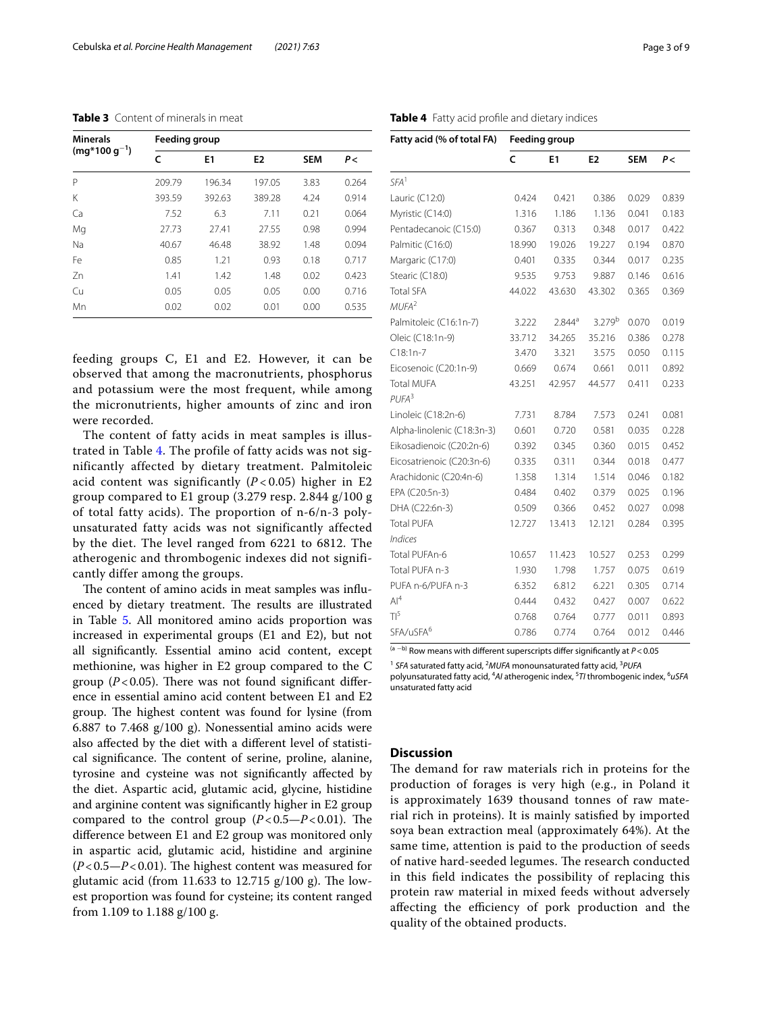<span id="page-2-0"></span>**Table 3** Content of minerals in meat

| <b>Minerals</b>   | Feeding group |        |                |            |       |  |  |
|-------------------|---------------|--------|----------------|------------|-------|--|--|
| $(mq*100 q^{-1})$ | c             | E1     | E <sub>2</sub> | <b>SEM</b> | P<    |  |  |
| P                 | 209.79        | 196.34 | 197.05         | 3.83       | 0.264 |  |  |
| Κ                 | 393.59        | 392.63 | 389.28         | 4.24       | 0.914 |  |  |
| Ca                | 7.52          | 6.3    | 7.11           | 0.21       | 0.064 |  |  |
| Mg                | 27.73         | 27.41  | 27.55          | 0.98       | 0.994 |  |  |
| Na                | 40.67         | 46.48  | 38.92          | 1.48       | 0.094 |  |  |
| Fe                | 0.85          | 1.21   | 0.93           | 0.18       | 0.717 |  |  |
| 7 <sub>n</sub>    | 1.41          | 1.42   | 1.48           | 0.02       | 0.423 |  |  |
| Cu                | 0.05          | 0.05   | 0.05           | 0.00       | 0.716 |  |  |
| Mn                | 0.02          | 0.02   | 0.01           | 0.00       | 0.535 |  |  |

feeding groups C, E1 and E2. However, it can be observed that among the macronutrients, phosphorus and potassium were the most frequent, while among the micronutrients, higher amounts of zinc and iron were recorded.

The content of fatty acids in meat samples is illustrated in Table [4.](#page-2-1) The profile of fatty acids was not significantly affected by dietary treatment. Palmitoleic acid content was significantly  $(P<0.05)$  higher in E2 group compared to E1 group (3.279 resp. 2.844 g/100 g of total fatty acids). The proportion of n-6/n-3 polyunsaturated fatty acids was not significantly affected by the diet. The level ranged from 6221 to 6812. The atherogenic and thrombogenic indexes did not significantly differ among the groups.

The content of amino acids in meat samples was influenced by dietary treatment. The results are illustrated in Table [5](#page-3-0). All monitored amino acids proportion was increased in experimental groups (E1 and E2), but not all signifcantly. Essential amino acid content, except methionine, was higher in E2 group compared to the C group  $(P<0.05)$ . There was not found significant difference in essential amino acid content between E1 and E2 group. The highest content was found for lysine (from 6.887 to 7.468  $g/100$  g). Nonessential amino acids were also afected by the diet with a diferent level of statistical significance. The content of serine, proline, alanine, tyrosine and cysteine was not signifcantly afected by the diet. Aspartic acid, glutamic acid, glycine, histidine and arginine content was signifcantly higher in E2 group compared to the control group  $(P<0.5-P<0.01)$ . The diference between E1 and E2 group was monitored only in aspartic acid, glutamic acid, histidine and arginine  $(P<0.5-P<0.01)$ . The highest content was measured for glutamic acid (from 11.633 to 12.715  $g/100 g$ ). The lowest proportion was found for cysteine; its content ranged from 1.109 to 1.188 g/100 g.

<span id="page-2-1"></span>

|  |  |  | Table 4 Fatty acid profile and dietary indices |
|--|--|--|------------------------------------------------|
|--|--|--|------------------------------------------------|

| Fatty acid (% of total FA) | <b>Feeding group</b> |           |                    |            |       |
|----------------------------|----------------------|-----------|--------------------|------------|-------|
|                            | $\mathsf{C}$         | E1        | E <sub>2</sub>     | <b>SEM</b> | P<    |
| SFA <sup>1</sup>           |                      |           |                    |            |       |
| Lauric (C12:0)             | 0.424                | 0.421     | 0.386              | 0.029      | 0.839 |
| Myristic (C14:0)           | 1.316                | 1.186     | 1.136              | 0.041      | 0.183 |
| Pentadecanoic (C15:0)      | 0.367                | 0.313     | 0.348              | 0.017      | 0.422 |
| Palmitic (C16:0)           | 18.990               | 19.026    | 19.227             | 0.194      | 0.870 |
| Margaric (C17:0)           | 0.401                | 0.335     | 0.344              | 0.017      | 0.235 |
| Stearic (C18:0)            | 9.535                | 9.753     | 9.887              | 0.146      | 0.616 |
| <b>Total SFA</b>           | 44.022               | 43.630    | 43.302             | 0.365      | 0.369 |
| MUFA <sup>2</sup>          |                      |           |                    |            |       |
| Palmitoleic (C16:1n-7)     | 3.222                | $2.844^a$ | 3.279 <sup>b</sup> | 0.070      | 0.019 |
| Oleic (C18:1n-9)           | 33.712               | 34.265    | 35.216             | 0.386      | 0.278 |
| $C18:1n-7$                 | 3.470                | 3.321     | 3.575              | 0.050      | 0.115 |
| Eicosenoic (C20:1n-9)      | 0.669                | 0.674     | 0.661              | 0.011      | 0.892 |
| <b>Total MUFA</b>          | 43.251               | 42.957    | 44.577             | 0.411      | 0.233 |
| $PIJFA^3$                  |                      |           |                    |            |       |
| Linoleic (C18:2n-6)        | 7.731                | 8.784     | 7.573              | 0.241      | 0.081 |
| Alpha-linolenic (C18:3n-3) | 0.601                | 0.720     | 0.581              | 0.035      | 0.228 |
| Eikosadienoic (C20:2n-6)   | 0.392                | 0.345     | 0.360              | 0.015      | 0.452 |
| Eicosatrienoic (C20:3n-6)  | 0.335                | 0.311     | 0.344              | 0.018      | 0.477 |
| Arachidonic (C20:4n-6)     | 1.358                | 1.314     | 1.514              | 0.046      | 0.182 |
| EPA (C20:5n-3)             | 0.484                | 0.402     | 0.379              | 0.025      | 0.196 |
| DHA (C22:6n-3)             | 0.509                | 0.366     | 0.452              | 0.027      | 0.098 |
| Total PUFA                 | 12.727               | 13.413    | 12.121             | 0.284      | 0.395 |
| <b>Indices</b>             |                      |           |                    |            |       |
| Total PUFAn-6              | 10.657               | 11.423    | 10.527             | 0.253      | 0.299 |
| Total PUFA n-3             | 1.930                | 1.798     | 1.757              | 0.075      | 0.619 |
| PUFA n-6/PUFA n-3          | 6.352                | 6.812     | 6.221              | 0.305      | 0.714 |
| Al <sup>4</sup>            | 0.444                | 0.432     | 0.427              | 0.007      | 0.622 |
| $T1^5$                     | 0.768                | 0.764     | 0.777              | 0.011      | 0.893 |
| SFA/uSFA <sup>6</sup>      | 0.786                | 0.774     | 0.764              | 0.012      | 0.446 |

(a <sup>−</sup>b) Row means with diferent superscripts difer signifcantly at *P*<0.05

<sup>1</sup> SFA saturated fatty acid, <sup>2</sup>MUFA monounsaturated fatty acid, <sup>3</sup>PUFA

polyunsaturated fatty acid, 4 *AI* atherogenic index, 5 *TI* thrombogenic index, 6 *uSFA* unsaturated fatty acid

## **Discussion**

The demand for raw materials rich in proteins for the production of forages is very high (e.g., in Poland it is approximately 1639 thousand tonnes of raw material rich in proteins). It is mainly satisfed by imported soya bean extraction meal (approximately 64%). At the same time, attention is paid to the production of seeds of native hard-seeded legumes. The research conducted in this feld indicates the possibility of replacing this protein raw material in mixed feeds without adversely affecting the efficiency of pork production and the quality of the obtained products.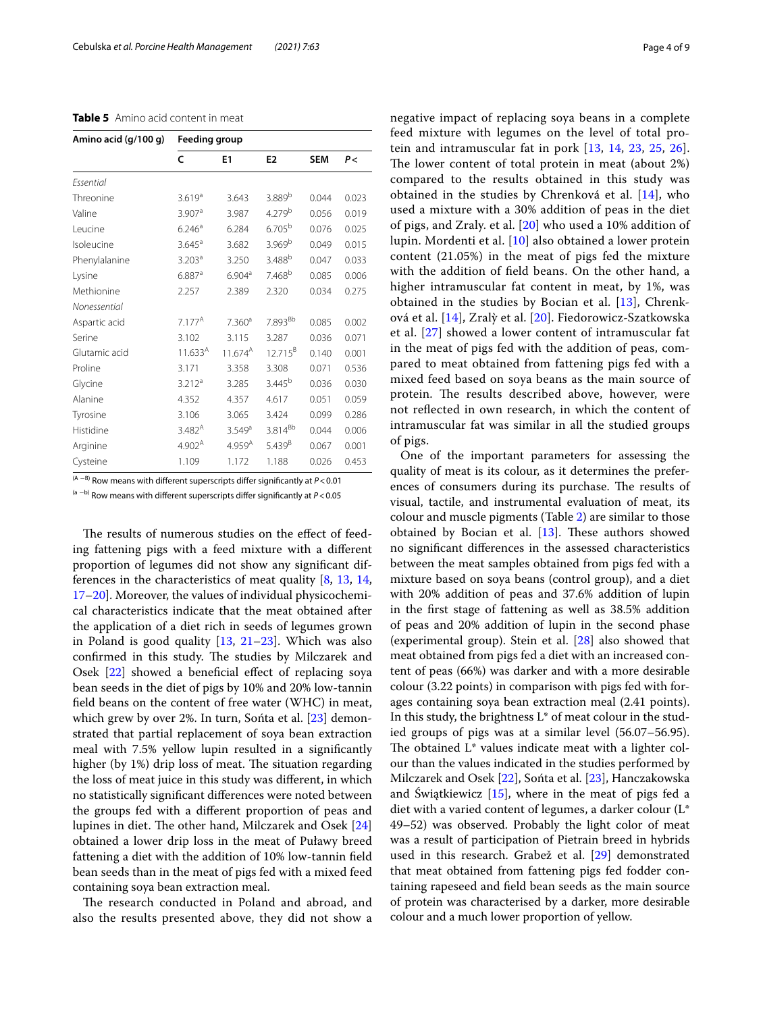<span id="page-3-0"></span>

| Table 5 Amino acid content in meat |
|------------------------------------|
|------------------------------------|

| Amino acid (g/100 g) | <b>Feeding group</b> |                    |                     |            |       |  |
|----------------------|----------------------|--------------------|---------------------|------------|-------|--|
|                      | $\mathsf{C}$         | E1                 | E <sub>2</sub>      | <b>SEM</b> | P<    |  |
| Essential            |                      |                    |                     |            |       |  |
| Threonine            | 3.619 <sup>a</sup>   | 3.643              | 3.889 <sup>b</sup>  | 0.044      | 0.023 |  |
| Valine               | $3.907$ <sup>a</sup> | 3.987              | 4.279 <sup>b</sup>  | 0.056      | 0.019 |  |
| Leucine              | 6.246 <sup>a</sup>   | 6.284              | 6.705 <sup>b</sup>  | 0.076      | 0.025 |  |
| Isoleucine           | $3.645^{\circ}$      | 3.682              | 3.969 <sup>b</sup>  | 0.049      | 0.015 |  |
| Phenylalanine        | 3.203 <sup>a</sup>   | 3.250              | 3.488 <sup>b</sup>  | 0.047      | 0.033 |  |
| Lysine               | 6.887a               | 6.904 <sup>a</sup> | 7.468 <sup>b</sup>  | 0.085      | 0.006 |  |
| Methionine           | 2.257                | 2.389              | 2.320               | 0.034      | 0.275 |  |
| Nonessential         |                      |                    |                     |            |       |  |
| Aspartic acid        | $7.177^A$            | 7.360 <sup>a</sup> | 7.893 <sup>Bb</sup> | 0.085      | 0.002 |  |
| Serine               | 3.102                | 3.115              | 3.287               | 0.036      | 0.071 |  |
| Glutamic acid        | $11.633^{A}$         | $11.674^{A}$       | $12.715^{B}$        | 0.140      | 0.001 |  |
| Proline              | 3.171                | 3.358              | 3.308               | 0.071      | 0.536 |  |
| Glycine              | 3.212 <sup>a</sup>   | 3.285              | $3.445^{b}$         | 0.036      | 0.030 |  |
| Alanine              | 4.352                | 4.357              | 4.617               | 0.051      | 0.059 |  |
| Tyrosine             | 3.106                | 3.065              | 3.424               | 0.099      | 0.286 |  |
| Histidine            | $3.482^{A}$          | 3.549a             | 3.814 <sup>Bb</sup> | 0.044      | 0.006 |  |
| Arginine             | 4.902 <sup>A</sup>   | 4.959 <sup>A</sup> | $5.439^{B}$         | 0.067      | 0.001 |  |
| Cysteine             | 1.109                | 1.172              | 1.188               | 0.026      | 0.453 |  |

(A <sup>−</sup>B) Row means with diferent superscripts difer signifcantly at *P*<0.01

(a <sup>−</sup>b) Row means with diferent superscripts difer signifcantly at *P*<0.05

The results of numerous studies on the effect of feeding fattening pigs with a feed mixture with a diferent proportion of legumes did not show any signifcant differences in the characteristics of meat quality [[8,](#page-7-7) [13](#page-7-12), [14](#page-7-14), [17–](#page-7-15)[20](#page-7-16)]. Moreover, the values of individual physicochemical characteristics indicate that the meat obtained after the application of a diet rich in seeds of legumes grown in Poland is good quality  $[13, 21-23]$  $[13, 21-23]$  $[13, 21-23]$  $[13, 21-23]$ . Which was also confirmed in this study. The studies by Milczarek and Osek [\[22](#page-7-19)] showed a benefcial efect of replacing soya bean seeds in the diet of pigs by 10% and 20% low-tannin feld beans on the content of free water (WHC) in meat, which grew by over 2%. In turn, Sonta et al. [[23](#page-7-18)] demonstrated that partial replacement of soya bean extraction meal with 7.5% yellow lupin resulted in a signifcantly higher (by  $1\%$ ) drip loss of meat. The situation regarding the loss of meat juice in this study was diferent, in which no statistically signifcant diferences were noted between the groups fed with a diferent proportion of peas and lupines in diet. The other hand, Milczarek and Osek  $[24]$  $[24]$  $[24]$ obtained a lower drip loss in the meat of Puławy breed fattening a diet with the addition of 10% low-tannin feld bean seeds than in the meat of pigs fed with a mixed feed containing soya bean extraction meal.

The research conducted in Poland and abroad, and also the results presented above, they did not show a negative impact of replacing soya beans in a complete feed mixture with legumes on the level of total protein and intramuscular fat in pork [[13](#page-7-12), [14](#page-7-14), [23](#page-7-18), [25](#page-7-21), [26](#page-7-22)]. The lower content of total protein in meat (about 2%) compared to the results obtained in this study was obtained in the studies by Chrenková et al. [[14](#page-7-14)], who used a mixture with a 30% addition of peas in the diet of pigs, and Zraly. et al. [[20](#page-7-16)] who used a 10% addition of lupin. Mordenti et al. [[10](#page-7-9)] also obtained a lower protein content (21.05%) in the meat of pigs fed the mixture with the addition of feld beans. On the other hand, a higher intramuscular fat content in meat, by 1%, was obtained in the studies by Bocian et al. [[13](#page-7-12)], Chrenková et al. [[14\]](#page-7-14), Zralỳ et al. [[20](#page-7-16)]. Fiedorowicz-Szatkowska et al. [[27](#page-8-0)] showed a lower content of intramuscular fat in the meat of pigs fed with the addition of peas, compared to meat obtained from fattening pigs fed with a mixed feed based on soya beans as the main source of protein. The results described above, however, were not refected in own research, in which the content of intramuscular fat was similar in all the studied groups of pigs.

One of the important parameters for assessing the quality of meat is its colour, as it determines the preferences of consumers during its purchase. The results of visual, tactile, and instrumental evaluation of meat, its colour and muscle pigments (Table [2\)](#page-1-1) are similar to those obtained by Bocian et al.  $[13]$ . These authors showed no signifcant diferences in the assessed characteristics between the meat samples obtained from pigs fed with a mixture based on soya beans (control group), and a diet with 20% addition of peas and 37.6% addition of lupin in the frst stage of fattening as well as 38.5% addition of peas and 20% addition of lupin in the second phase (experimental group). Stein et al. [[28\]](#page-8-1) also showed that meat obtained from pigs fed a diet with an increased content of peas (66%) was darker and with a more desirable colour (3.22 points) in comparison with pigs fed with forages containing soya bean extraction meal (2.41 points). In this study, the brightness  $L^*$  of meat colour in the studied groups of pigs was at a similar level (56.07–56.95). The obtained  $L^*$  values indicate meat with a lighter colour than the values indicated in the studies performed by Milczarek and Osek [[22\]](#page-7-19), Sońta et al. [[23\]](#page-7-18), Hanczakowska and Świątkiewicz [[15\]](#page-7-23), where in the meat of pigs fed a diet with a varied content of legumes, a darker colour (L\* 49–52) was observed. Probably the light color of meat was a result of participation of Pietrain breed in hybrids used in this research. Grabež et al. [\[29](#page-8-2)] demonstrated that meat obtained from fattening pigs fed fodder containing rapeseed and feld bean seeds as the main source of protein was characterised by a darker, more desirable colour and a much lower proportion of yellow.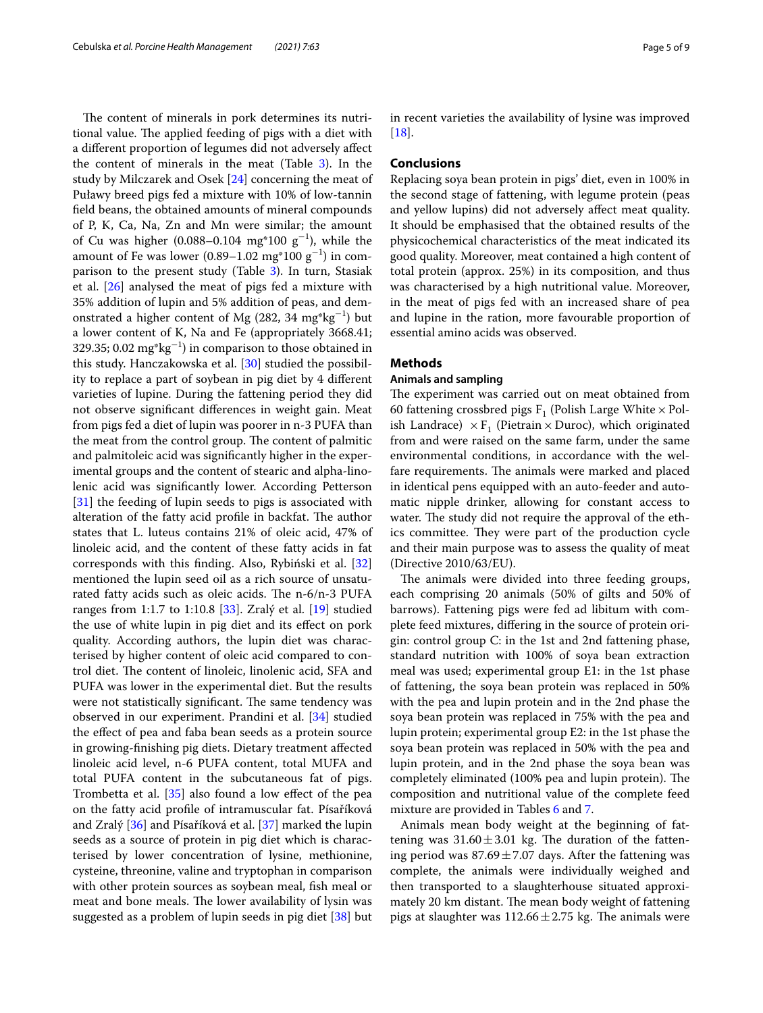The content of minerals in pork determines its nutritional value. The applied feeding of pigs with a diet with a diferent proportion of legumes did not adversely afect the content of minerals in the meat (Table [3\)](#page-2-0). In the study by Milczarek and Osek [\[24](#page-7-20)] concerning the meat of Puławy breed pigs fed a mixture with 10% of low-tannin feld beans, the obtained amounts of mineral compounds of P, K, Ca, Na, Zn and Mn were similar; the amount of Cu was higher (0.088–0.104  $mg*100 g^{-1}$ ), while the amount of Fe was lower (0.89–1.02  $\text{mg}^*\text{100 g}^{-1}$ ) in comparison to the present study (Table [3\)](#page-2-0). In turn, Stasiak et al. [\[26\]](#page-7-22) analysed the meat of pigs fed a mixture with 35% addition of lupin and 5% addition of peas, and demonstrated a higher content of Mg (282, 34  $\text{mg}^*\text{kg}^{-1}$ ) but a lower content of K, Na and Fe (appropriately 3668.41; 329.35; 0.02  $mg*kg^{-1}$ ) in comparison to those obtained in this study. Hanczakowska et al. [\[30\]](#page-8-3) studied the possibility to replace a part of soybean in pig diet by 4 diferent varieties of lupine. During the fattening period they did not observe signifcant diferences in weight gain. Meat from pigs fed a diet of lupin was poorer in n-3 PUFA than the meat from the control group. The content of palmitic and palmitoleic acid was signifcantly higher in the experimental groups and the content of stearic and alpha-linolenic acid was signifcantly lower. According Petterson [[31\]](#page-8-4) the feeding of lupin seeds to pigs is associated with alteration of the fatty acid profile in backfat. The author states that L. luteus contains 21% of oleic acid, 47% of linoleic acid, and the content of these fatty acids in fat corresponds with this fnding. Also, Rybiński et al. [[32](#page-8-5)] mentioned the lupin seed oil as a rich source of unsaturated fatty acids such as oleic acids. The  $n-6/n-3$  PUFA ranges from 1:1.7 to 1:10.8 [\[33](#page-8-6)]. Zralý et al. [\[19](#page-7-24)] studied the use of white lupin in pig diet and its efect on pork quality. According authors, the lupin diet was characterised by higher content of oleic acid compared to control diet. The content of linoleic, linolenic acid, SFA and PUFA was lower in the experimental diet. But the results were not statistically significant. The same tendency was observed in our experiment. Prandini et al. [\[34\]](#page-8-7) studied the efect of pea and faba bean seeds as a protein source in growing-fnishing pig diets. Dietary treatment afected linoleic acid level, n-6 PUFA content, total MUFA and total PUFA content in the subcutaneous fat of pigs. Trombetta et al. [\[35](#page-8-8)] also found a low efect of the pea on the fatty acid profle of intramuscular fat. Písaříková and Zralý [[36\]](#page-8-9) and Písaříková et al. [[37\]](#page-8-10) marked the lupin seeds as a source of protein in pig diet which is characterised by lower concentration of lysine, methionine, cysteine, threonine, valine and tryptophan in comparison with other protein sources as soybean meal, fish meal or meat and bone meals. The lower availability of lysin was suggested as a problem of lupin seeds in pig diet [\[38\]](#page-8-11) but

in recent varieties the availability of lysine was improved [[18\]](#page-7-25).

## **Conclusions**

Replacing soya bean protein in pigs' diet, even in 100% in the second stage of fattening, with legume protein (peas and yellow lupins) did not adversely afect meat quality. It should be emphasised that the obtained results of the physicochemical characteristics of the meat indicated its good quality. Moreover, meat contained a high content of total protein (approx. 25%) in its composition, and thus was characterised by a high nutritional value. Moreover, in the meat of pigs fed with an increased share of pea and lupine in the ration, more favourable proportion of essential amino acids was observed.

# **Methods**

## **Animals and sampling**

The experiment was carried out on meat obtained from 60 fattening crossbred pigs  $F_1$  (Polish Large White  $\times$  Polish Landrace)  $\times$  F<sub>1</sub> (Pietrain  $\times$  Duroc), which originated from and were raised on the same farm, under the same environmental conditions, in accordance with the welfare requirements. The animals were marked and placed in identical pens equipped with an auto-feeder and automatic nipple drinker, allowing for constant access to water. The study did not require the approval of the ethics committee. They were part of the production cycle and their main purpose was to assess the quality of meat (Directive 2010/63/EU).

The animals were divided into three feeding groups, each comprising 20 animals (50% of gilts and 50% of barrows). Fattening pigs were fed ad libitum with complete feed mixtures, difering in the source of protein origin: control group C: in the 1st and 2nd fattening phase, standard nutrition with 100% of soya bean extraction meal was used; experimental group E1: in the 1st phase of fattening, the soya bean protein was replaced in 50% with the pea and lupin protein and in the 2nd phase the soya bean protein was replaced in 75% with the pea and lupin protein; experimental group E2: in the 1st phase the soya bean protein was replaced in 50% with the pea and lupin protein, and in the 2nd phase the soya bean was completely eliminated (100% pea and lupin protein). The composition and nutritional value of the complete feed mixture are provided in Tables [6](#page-5-0) and [7.](#page-6-0)

Animals mean body weight at the beginning of fattening was  $31.60 \pm 3.01$  kg. The duration of the fattening period was  $87.69 \pm 7.07$  days. After the fattening was complete, the animals were individually weighed and then transported to a slaughterhouse situated approximately 20 km distant. The mean body weight of fattening pigs at slaughter was  $112.66 \pm 2.75$  kg. The animals were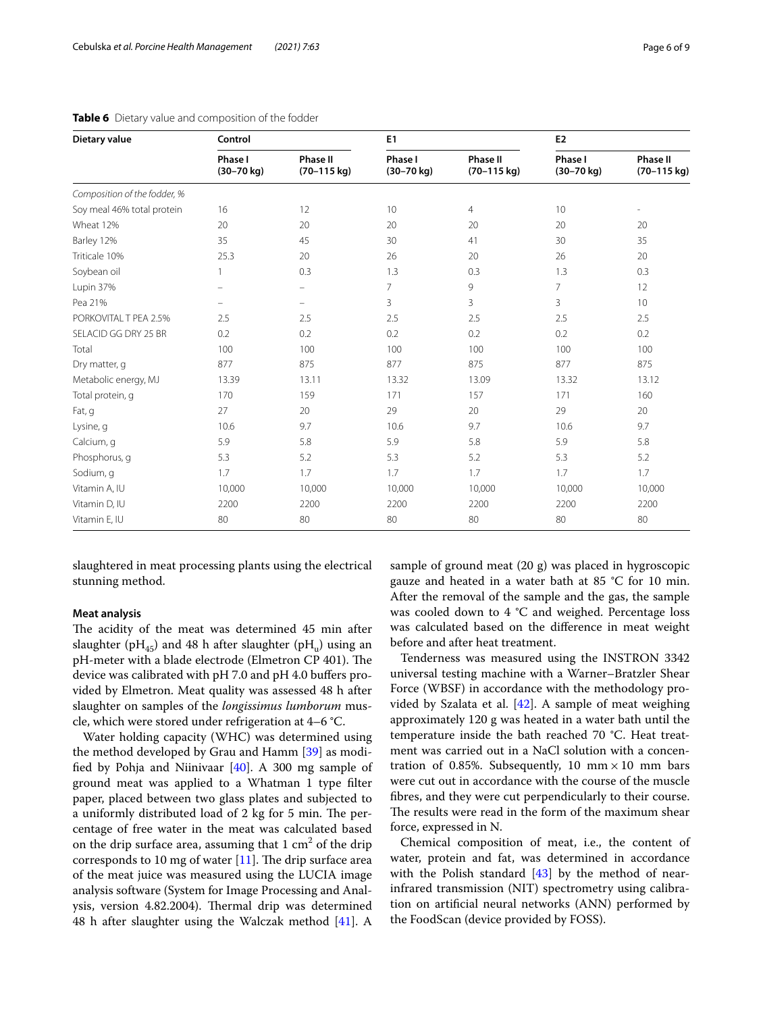| Dietary value                | Control                           |                                          | E1                                |                                          | E <sub>2</sub>                    |                                  |
|------------------------------|-----------------------------------|------------------------------------------|-----------------------------------|------------------------------------------|-----------------------------------|----------------------------------|
|                              | Phase I<br>$(30 - 70 \text{ kg})$ | <b>Phase II</b><br>$(70-115 \text{ kg})$ | Phase I<br>$(30 - 70 \text{ kg})$ | <b>Phase II</b><br>$(70-115 \text{ kg})$ | Phase I<br>$(30 - 70 \text{ kg})$ | <b>Phase II</b><br>$(70-115$ kg) |
| Composition of the fodder, % |                                   |                                          |                                   |                                          |                                   |                                  |
| Soy meal 46% total protein   | 16                                | 12                                       | 10                                | $\overline{4}$                           | 10                                |                                  |
| Wheat 12%                    | 20                                | 20                                       | 20                                | 20                                       | 20                                | 20                               |
| Barley 12%                   | 35                                | 45                                       | 30                                | 41                                       | 30                                | 35                               |
| Triticale 10%                | 25.3                              | 20                                       | 26                                | 20                                       | 26                                | 20                               |
| Soybean oil                  |                                   | 0.3                                      | 1.3                               | 0.3                                      | 1.3                               | 0.3                              |
| Lupin 37%                    |                                   | -                                        | $\overline{7}$                    | 9                                        | $\overline{7}$                    | 12                               |
| Pea 21%                      |                                   |                                          | 3                                 | 3                                        | 3                                 | 10                               |
| PORKOVITAL T PEA 2.5%        | 2.5                               | 2.5                                      | 2.5                               | 2.5                                      | 2.5                               | 2.5                              |
| SELACID GG DRY 25 BR         | 0.2                               | 0.2                                      | 0.2                               | 0.2                                      | 0.2                               | 0.2                              |
| Total                        | 100                               | 100                                      | 100                               | 100                                      | 100                               | 100                              |
| Dry matter, g                | 877                               | 875                                      | 877                               | 875                                      | 877                               | 875                              |
| Metabolic energy, MJ         | 13.39                             | 13.11                                    | 13.32                             | 13.09                                    | 13.32                             | 13.12                            |
| Total protein, q             | 170                               | 159                                      | 171                               | 157                                      | 171                               | 160                              |
| Fat, g                       | 27                                | 20                                       | 29                                | 20                                       | 29                                | 20                               |
| Lysine, q                    | 10.6                              | 9.7                                      | 10.6                              | 9.7                                      | 10.6                              | 9.7                              |
| Calcium, q                   | 5.9                               | 5.8                                      | 5.9                               | 5.8                                      | 5.9                               | 5.8                              |
| Phosphorus, q                | 5.3                               | 5.2                                      | 5.3                               | 5.2                                      | 5.3                               | 5.2                              |
| Sodium, g                    | 1.7                               | 1.7                                      | 1.7                               | 1.7                                      | 1.7                               | 1.7                              |
| Vitamin A, IU                | 10,000                            | 10,000                                   | 10,000                            | 10,000                                   | 10,000                            | 10,000                           |
| Vitamin D, IU                | 2200                              | 2200                                     | 2200                              | 2200                                     | 2200                              | 2200                             |
| Vitamin E, IU                | 80                                | 80                                       | 80                                | 80                                       | 80                                | 80                               |

<span id="page-5-0"></span>**Table 6** Dietary value and composition of the fodder

slaughtered in meat processing plants using the electrical stunning method.

# **Meat analysis**

The acidity of the meat was determined 45 min after slaughter (pH<sub>45</sub>) and 48 h after slaughter (pH<sub>u</sub>) using an pH-meter with a blade electrode (Elmetron CP 401). The device was calibrated with pH 7.0 and pH 4.0 bufers provided by Elmetron. Meat quality was assessed 48 h after slaughter on samples of the *longissimus lumborum* muscle, which were stored under refrigeration at 4–6 °C.

Water holding capacity (WHC) was determined using the method developed by Grau and Hamm [[39\]](#page-8-12) as modified by Pohja and Niinivaar  $[40]$  $[40]$ . A 300 mg sample of ground meat was applied to a Whatman 1 type flter paper, placed between two glass plates and subjected to a uniformly distributed load of 2 kg for 5 min. The percentage of free water in the meat was calculated based on the drip surface area, assuming that  $1 \text{ cm}^2$  of the drip corresponds to 10 mg of water  $[11]$  $[11]$ . The drip surface area of the meat juice was measured using the LUCIA image analysis software (System for Image Processing and Analysis, version 4.82.2004). Thermal drip was determined 48 h after slaughter using the Walczak method [\[41](#page-8-14)]. A

sample of ground meat (20 g) was placed in hygroscopic gauze and heated in a water bath at 85 °C for 10 min. After the removal of the sample and the gas, the sample was cooled down to 4 °C and weighed. Percentage loss was calculated based on the diference in meat weight before and after heat treatment.

Tenderness was measured using the INSTRON 3342 universal testing machine with a Warner–Bratzler Shear Force (WBSF) in accordance with the methodology provided by Szalata et al.  $[42]$  $[42]$ . A sample of meat weighing approximately 120 g was heated in a water bath until the temperature inside the bath reached 70 °C. Heat treatment was carried out in a NaCl solution with a concentration of 0.85%. Subsequently, 10  $mm \times 10$  mm bars were cut out in accordance with the course of the muscle fbres, and they were cut perpendicularly to their course. The results were read in the form of the maximum shear force, expressed in N.

Chemical composition of meat, i.e., the content of water, protein and fat, was determined in accordance with the Polish standard  $[43]$  $[43]$  by the method of nearinfrared transmission (NIT) spectrometry using calibration on artifcial neural networks (ANN) performed by the FoodScan (device provided by FOSS).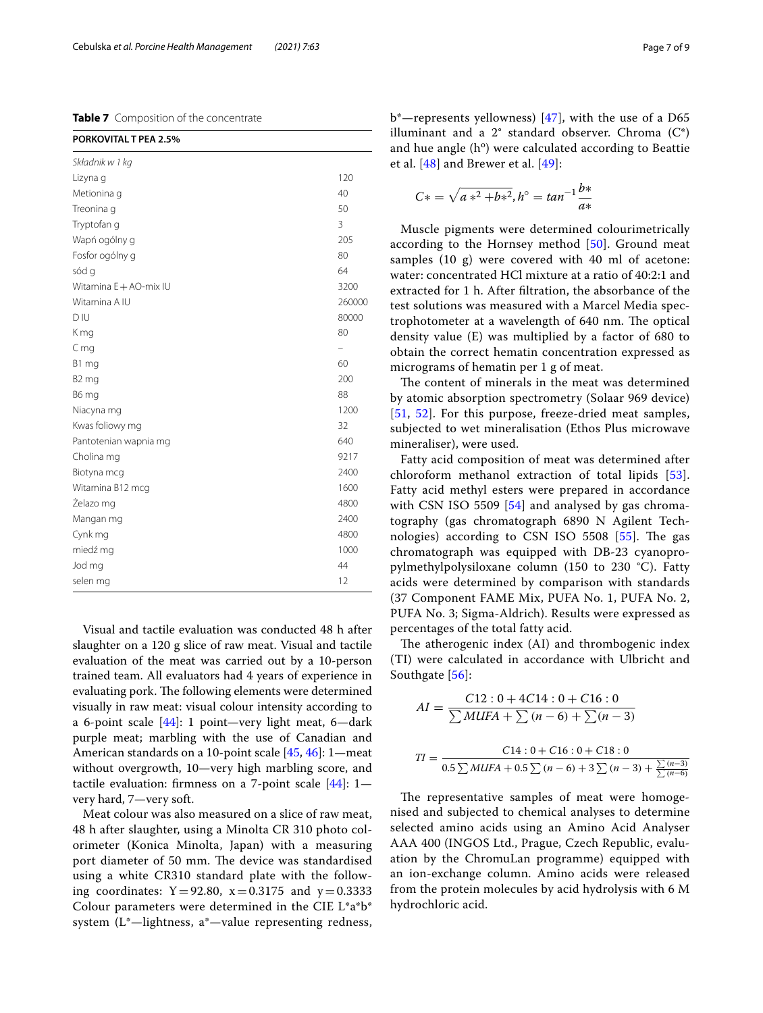<span id="page-6-0"></span>**Table 7** Composition of the concentrate

| PORKOVITAL T PEA 2.5%  |        |
|------------------------|--------|
| Składnik w 1 kg        |        |
| Lizyna g               | 120    |
| Metionina q            | 40     |
| Treonina g             | 50     |
| Tryptofan q            | 3      |
| Wapń ogólny g          | 205    |
| Fosfor ogólny g        | 80     |
| sód g                  | 64     |
| Witamina E + AO-mix IU | 3200   |
| Witamina A IU          | 260000 |
| D IU                   | 80000  |
| K mg                   | 80     |
| $C$ mg                 |        |
| B1 mg                  | 60     |
| B <sub>2</sub> mg      | 200    |
| B6 mg                  | 88     |
| Niacyna mg             | 1200   |
| Kwas foliowy mg        | 32     |
| Pantotenian wapnia mg  | 640    |
| Cholina mg             | 9217   |
| Biotyna mcg            | 2400   |
| Witamina B12 mcg       | 1600   |
| Żelazo mg              | 4800   |
| Mangan mg              | 2400   |
| Cynk mg                | 4800   |
| miedź mg               | 1000   |
| Jod mg                 | 44     |
| selen mg               | 12     |

Visual and tactile evaluation was conducted 48 h after slaughter on a 120 g slice of raw meat. Visual and tactile evaluation of the meat was carried out by a 10-person trained team. All evaluators had 4 years of experience in evaluating pork. The following elements were determined visually in raw meat: visual colour intensity according to a 6-point scale [\[44](#page-8-17)]: 1 point—very light meat, 6—dark purple meat; marbling with the use of Canadian and American standards on a 10-point scale [\[45](#page-8-18), [46](#page-8-19)]: 1—meat without overgrowth, 10—very high marbling score, and tactile evaluation: frmness on a 7-point scale [\[44](#page-8-17)]: 1 very hard, 7—very soft.

Meat colour was also measured on a slice of raw meat, 48 h after slaughter, using a Minolta CR 310 photo colorimeter (Konica Minolta, Japan) with a measuring port diameter of 50 mm. The device was standardised using a white CR310 standard plate with the following coordinates:  $Y = 92.80$ ,  $x = 0.3175$  and  $y = 0.3333$ Colour parameters were determined in the CIE L\*a\*b\* system (L\*—lightness, a\*—value representing redness, b\*—represents yellowness)  $[47]$  $[47]$ , with the use of a D65 illuminant and a  $2^{\circ}$  standard observer. Chroma  $(C^*)$ and hue angle  $(h^o)$  were calculated according to Beattie et al. [[48\]](#page-8-21) and Brewer et al. [[49](#page-8-22)]:

$$
C* = \sqrt{a*^2 + b*^2}, h^{\circ} = \tan^{-1} \frac{b*}{a*}
$$

Muscle pigments were determined colourimetrically according to the Hornsey method [[50\]](#page-8-23). Ground meat samples  $(10 \text{ g})$  were covered with  $40 \text{ ml}$  of acetone: water: concentrated HCl mixture at a ratio of 40:2:1 and extracted for 1 h. After fltration, the absorbance of the test solutions was measured with a Marcel Media spectrophotometer at a wavelength of 640 nm. The optical density value (E) was multiplied by a factor of 680 to obtain the correct hematin concentration expressed as micrograms of hematin per 1 g of meat.

The content of minerals in the meat was determined by atomic absorption spectrometry (Solaar 969 device) [[51](#page-8-24), [52\]](#page-8-25). For this purpose, freeze-dried meat samples, subjected to wet mineralisation (Ethos Plus microwave mineraliser), were used.

Fatty acid composition of meat was determined after chloroform methanol extraction of total lipids [[53](#page-8-26)]. Fatty acid methyl esters were prepared in accordance with CSN ISO 5509 [[54](#page-8-27)] and analysed by gas chromatography (gas chromatograph 6890 N Agilent Technologies) according to CSN ISO 5508  $[55]$  $[55]$ . The gas chromatograph was equipped with DB-23 cyanopropylmethylpolysiloxane column (150 to 230 °C). Fatty acids were determined by comparison with standards (37 Component FAME Mix, PUFA No. 1, PUFA No. 2, PUFA No. 3; Sigma-Aldrich). Results were expressed as percentages of the total fatty acid.

The atherogenic index (AI) and thrombogenic index (TI) were calculated in accordance with Ulbricht and Southgate [[56\]](#page-8-29):

$$
AI = \frac{C12: 0 + 4C14: 0 + C16: 0}{\sum MUFA + \sum (n - 6) + \sum (n - 3)}
$$

$$
TI = \frac{C14: 0 + C16: 0 + C18: 0}{0.5 \sum MUFA + 0.5 \sum (n - 6) + 3 \sum (n - 3) + \frac{\sum (n - 3)}{\sum (n - 6)}}
$$

The representative samples of meat were homogenised and subjected to chemical analyses to determine selected amino acids using an Amino Acid Analyser AAA 400 (INGOS Ltd., Prague, Czech Republic, evaluation by the ChromuLan programme) equipped with an ion-exchange column. Amino acids were released from the protein molecules by acid hydrolysis with 6 M hydrochloric acid.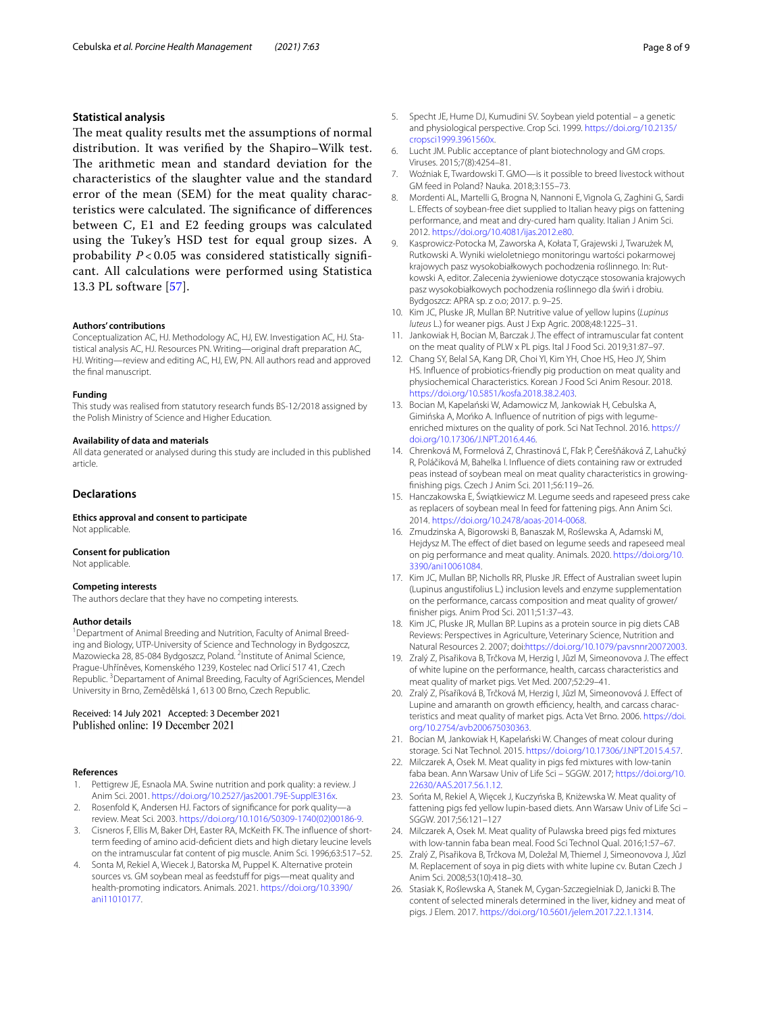### **Statistical analysis**

The meat quality results met the assumptions of normal distribution. It was verifed by the Shapiro–Wilk test. The arithmetic mean and standard deviation for the characteristics of the slaughter value and the standard error of the mean (SEM) for the meat quality characteristics were calculated. The significance of differences between C, E1 and E2 feeding groups was calculated using the Tukey's HSD test for equal group sizes. A probability *P* < 0.05 was considered statistically signifcant. All calculations were performed using Statistica 13.3 PL software [\[57](#page-8-30)].

#### **Authors' contributions**

Conceptualization AC, HJ. Methodology AC, HJ, EW. Investigation AC, HJ. Statistical analysis AC, HJ. Resources PN. Writing—original draft preparation AC, HJ. Writing—review and editing AC, HJ, EW, PN. All authors read and approved the fnal manuscript.

#### **Funding**

This study was realised from statutory research funds BS-12/2018 assigned by the Polish Ministry of Science and Higher Education.

#### **Availability of data and materials**

All data generated or analysed during this study are included in this published article.

# **Declarations**

**Ethics approval and consent to participate** Not applicable.

# **Consent for publication**

Not applicable.

#### **Competing interests**

The authors declare that they have no competing interests.

#### **Author details**

<sup>1</sup> Department of Animal Breeding and Nutrition, Faculty of Animal Breeding and Biology, UTP-University of Science and Technology in Bydgoszcz, Mazowiecka 28, 85-084 Bydgoszcz, Poland. <sup>2</sup>Institute of Animal Science, Prague-Uhříněves, Komenského 1239, Kostelec nad Orlicí 517 41, Czech Republic.<sup>3</sup> Departament of Animal Breeding, Faculty of AgriSciences, Mendel University in Brno, Zemědělská 1, 613 00 Brno, Czech Republic.

# Received: 14 July 2021 Accepted: 3 December 2021 Published online: 19 December 2021

#### **References**

- <span id="page-7-0"></span>1. Pettigrew JE, Esnaola MA. Swine nutrition and pork quality: a review. J Anim Sci. 2001.<https://doi.org/10.2527/jas2001.79E-SupplE316x>.
- <span id="page-7-1"></span>2. Rosenfold K, Andersen HJ. Factors of signifcance for pork quality—a review. Meat Sci. 2003. [https://doi.org/10.1016/S0309-1740\(02\)00186-9](https://doi.org/10.1016/S0309-1740(02)00186-9).
- <span id="page-7-2"></span>Cisneros F, Ellis M, Baker DH, Easter RA, McKeith FK. The influence of shortterm feeding of amino acid-defcient diets and high dietary leucine levels on the intramuscular fat content of pig muscle. Anim Sci. 1996;63:517–52.
- <span id="page-7-3"></span>4. Sonta M, Rekiel A, Wiecek J, Batorska M, Puppel K. Alternative protein sources vs. GM soybean meal as feedstuff for pigs—meat quality and health-promoting indicators. Animals. 2021. [https://doi.org/10.3390/](https://doi.org/10.3390/ani11010177) [ani11010177.](https://doi.org/10.3390/ani11010177)
- <span id="page-7-4"></span>5. Specht JE, Hume DJ, Kumudini SV. Soybean yield potential – a genetic and physiological perspective. Crop Sci. 1999. [https://doi.org/10.2135/](https://doi.org/10.2135/cropsci1999.3961560x) [cropsci1999.3961560x.](https://doi.org/10.2135/cropsci1999.3961560x)
- <span id="page-7-5"></span>6. Lucht JM. Public acceptance of plant biotechnology and GM crops. Viruses. 2015;7(8):4254–81.
- <span id="page-7-6"></span>7. Woźniak E, Twardowski T. GMO—is it possible to breed livestock without GM feed in Poland? Nauka. 2018;3:155–73.
- <span id="page-7-7"></span>8. Mordenti AL, Martelli G, Brogna N, Nannoni E, Vignola G, Zaghini G, Sardi L. Efects of soybean-free diet supplied to Italian heavy pigs on fattening performance, and meat and dry-cured ham quality. Italian J Anim Sci. 2012. [https://doi.org/10.4081/ijas.2012.e80.](https://doi.org/10.4081/ijas.2012.e80)
- <span id="page-7-8"></span>9. Kasprowicz-Potocka M, Zaworska A, Kołata T, Grajewski J, Twarużek M, Rutkowski A. Wyniki wieloletniego monitoringu wartości pokarmowej krajowych pasz wysokobiałkowych pochodzenia roślinnego. In: Rutkowski A, editor. Zalecenia żywieniowe dotyczące stosowania krajowych pasz wysokobiałkowych pochodzenia roślinnego dla świń i drobiu. Bydgoszcz: APRA sp. z o.o; 2017. p. 9–25.
- <span id="page-7-9"></span>10. Kim JC, Pluske JR, Mullan BP. Nutritive value of yellow lupins (*Lupinus luteus* L.) for weaner pigs. Aust J Exp Agric. 2008;48:1225–31.
- <span id="page-7-10"></span>11. Jankowiak H, Bocian M, Barczak J. The effect of intramuscular fat content on the meat quality of PLW x PL pigs. Ital J Food Sci. 2019;31:87–97.
- <span id="page-7-11"></span>12. Chang SY, Belal SA, Kang DR, Choi YI, Kim YH, Choe HS, Heo JY, Shim HS. Infuence of probiotics-friendly pig production on meat quality and physiochemical Characteristics. Korean J Food Sci Anim Resour. 2018. [https://doi.org/10.5851/kosfa.2018.38.2.403.](https://doi.org/10.5851/kosfa.2018.38.2.403)
- <span id="page-7-12"></span>13. Bocian M, Kapelański W, Adamowicz M, Jankowiak H, Cebulska A, Gimińska A, Mońko A. Infuence of nutrition of pigs with legumeenriched mixtures on the quality of pork. Sci Nat Technol. 2016. [https://](https://doi.org/10.17306/J.NPT.2016.4.46) [doi.org/10.17306/J.NPT.2016.4.46](https://doi.org/10.17306/J.NPT.2016.4.46).
- <span id="page-7-14"></span>14. Chrenková M, Formelová Z, Chrastinová Ľ, Fľak P, Čerešňáková Z, Lahučký R, Poláčiková M, Bahelka I. Infuence of diets containing raw or extruded peas instead of soybean meal on meat quality characteristics in growingfnishing pigs. Czech J Anim Sci. 2011;56:119–26.
- <span id="page-7-23"></span>15. Hanczakowska E, Świątkiewicz M. Legume seeds and rapeseed press cake as replacers of soybean meal In feed for fattening pigs. Ann Anim Sci. 2014. [https://doi.org/10.2478/aoas-2014-0068.](https://doi.org/10.2478/aoas-2014-0068)
- <span id="page-7-13"></span>16. Zmudzinska A, Bigorowski B, Banaszak M, Roślewska A, Adamski M, Hejdysz M. The effect of diet based on legume seeds and rapeseed meal on pig performance and meat quality. Animals. 2020. [https://doi.org/10.](https://doi.org/10.3390/ani10061084) [3390/ani10061084](https://doi.org/10.3390/ani10061084).
- <span id="page-7-15"></span>17. Kim JC, Mullan BP, Nicholls RR, Pluske JR. Efect of Australian sweet lupin (Lupinus angustifolius L.) inclusion levels and enzyme supplementation on the performance, carcass composition and meat quality of grower/ fnisher pigs. Anim Prod Sci. 2011;51:37–43.
- <span id="page-7-25"></span>18. Kim JC, Pluske JR, Mullan BP. Lupins as a protein source in pig diets CAB Reviews: Perspectives in Agriculture, Veterinary Science, Nutrition and Natural Resources 2. 2007; doi:<https://doi.org/10.1079/pavsnnr20072003>.
- <span id="page-7-24"></span>19. Zralý Z, Pisařikova B, Trčkova M, Herzig I, Jůzl M, Simeonovova J. The efect of white lupine on the performance, health, carcass characteristics and meat quality of market pigs. Vet Med. 2007;52:29–41.
- <span id="page-7-16"></span>20. Zralý Z, Písaříková B, Trčková M, Herzig I, Jůzl M, Simeonovová J. Efect of Lupine and amaranth on growth efficiency, health, and carcass characteristics and meat quality of market pigs. Acta Vet Brno. 2006. [https://doi.](https://doi.org/10.2754/avb200675030363) [org/10.2754/avb200675030363](https://doi.org/10.2754/avb200675030363).
- <span id="page-7-17"></span>21. Bocian M, Jankowiak H, Kapelański W. Changes of meat colour during storage. Sci Nat Technol. 2015. <https://doi.org/10.17306/J.NPT.2015.4.57>.
- <span id="page-7-19"></span>22. Milczarek A, Osek M. Meat quality in pigs fed mixtures with low-tanin faba bean. Ann Warsaw Univ of Life Sci – SGGW. 2017; [https://doi.org/10.](https://doi.org/10.22630/AAS.2017.56.1.12) [22630/AAS.2017.56.1.12](https://doi.org/10.22630/AAS.2017.56.1.12).
- <span id="page-7-18"></span>23. Sońta M, Rekiel A, Więcek J, Kuczyńska B, Kniżewska W. Meat quality of fattening pigs fed yellow lupin-based diets. Ann Warsaw Univ of Life Sci – SGGW. 2017;56:121–127
- <span id="page-7-20"></span>24. Milczarek A, Osek M. Meat quality of Pulawska breed pigs fed mixtures with low-tannin faba bean meal. Food Sci Technol Qual. 2016;1:57–67.
- <span id="page-7-21"></span>25. Zralý Z, Pisařikova B, Trčkova M, Doležal M, Thiemel J, Simeonovova J, Jůzl M. Replacement of soya in pig diets with white lupine cv. Butan Czech J Anim Sci. 2008;53(10):418–30.
- <span id="page-7-22"></span>26. Stasiak K, Roślewska A, Stanek M, Cygan-Szczegielniak D, Janicki B. The content of selected minerals determined in the liver, kidney and meat of pigs. J Elem. 2017. [https://doi.org/10.5601/jelem.2017.22.1.1314.](https://doi.org/10.5601/jelem.2017.22.1.1314)